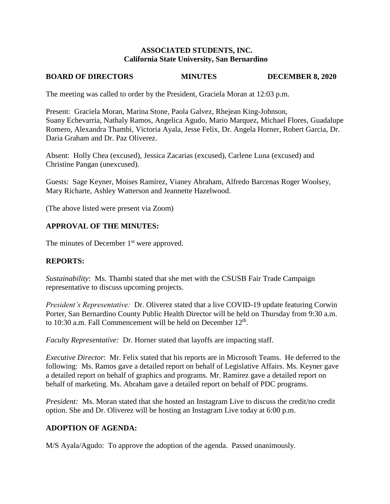## **ASSOCIATED STUDENTS, INC. California State University, San Bernardino**

# **BOARD OF DIRECTORS MINUTES DECEMBER 8, 2020**

The meeting was called to order by the President, Graciela Moran at 12:03 p.m.

Present: Graciela Moran, Marina Stone, Paola Galvez, Rhejean King-Johnson, Suany Echevarria, Nathaly Ramos, Angelica Agudo, Mario Marquez, Michael Flores, Guadalupe Romero, Alexandra Thambi, Victoria Ayala, Jesse Felix, Dr. Angela Horner, Robert Garcia, Dr. Daria Graham and Dr. Paz Oliverez.

Absent: Holly Chea (excused), Jessica Zacarias (excused), Carlene Luna (excused) and Christine Pangan (unexcused).

Guests: Sage Keyner, Moises Ramírez, Vianey Abraham, Alfredo Barcenas Roger Woolsey, Mary Richarte, Ashley Watterson and Jeannette Hazelwood.

(The above listed were present via Zoom)

# **APPROVAL OF THE MINUTES:**

The minutes of December  $1<sup>st</sup>$  were approved.

### **REPORTS:**

*Sustainability*: Ms. Thambi stated that she met with the CSUSB Fair Trade Campaign representative to discuss upcoming projects.

*President's Representative:* Dr. Oliverez stated that a live COVID-19 update featuring Corwin Porter, San Bernardino County Public Health Director will be held on Thursday from 9:30 a.m. to 10:30 a.m. Fall Commencement will be held on December  $12<sup>th</sup>$ .

*Faculty Representative:* Dr. Horner stated that layoffs are impacting staff.

*Executive Director*: Mr. Felix stated that his reports are in Microsoft Teams. He deferred to the following: Ms. Ramos gave a detailed report on behalf of Legislative Affairs. Ms. Keyner gave a detailed report on behalf of graphics and programs. Mr. Ramirez gave a detailed report on behalf of marketing. Ms. Abraham gave a detailed report on behalf of PDC programs.

*President:* Ms. Moran stated that she hosted an Instagram Live to discuss the credit/no credit option. She and Dr. Oliverez will be hosting an Instagram Live today at 6:00 p.m.

### **ADOPTION OF AGENDA:**

M/S Ayala/Agudo: To approve the adoption of the agenda. Passed unanimously.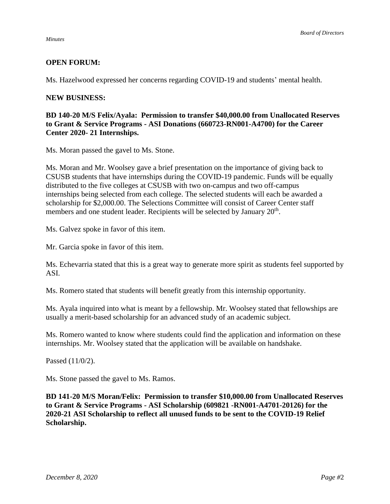#### *Minutes*

# **OPEN FORUM:**

Ms. Hazelwood expressed her concerns regarding COVID-19 and students' mental health.

#### **NEW BUSINESS:**

## **BD 140-20 M/S Felix/Ayala: Permission to transfer \$40,000.00 from Unallocated Reserves to Grant & Service Programs - ASI Donations (660723-RN001-A4700) for the Career Center 2020- 21 Internships.**

Ms. Moran passed the gavel to Ms. Stone.

Ms. Moran and Mr. Woolsey gave a brief presentation on the importance of giving back to CSUSB students that have internships during the COVID-19 pandemic. Funds will be equally distributed to the five colleges at CSUSB with two on-campus and two off-campus internships being selected from each college. The selected students will each be awarded a scholarship for \$2,000.00. The Selections Committee will consist of Career Center staff members and one student leader. Recipients will be selected by January 20<sup>th</sup>.

Ms. Galvez spoke in favor of this item.

Mr. Garcia spoke in favor of this item.

Ms. Echevarria stated that this is a great way to generate more spirit as students feel supported by ASI.

Ms. Romero stated that students will benefit greatly from this internship opportunity.

Ms. Ayala inquired into what is meant by a fellowship. Mr. Woolsey stated that fellowships are usually a merit-based scholarship for an advanced study of an academic subject.

Ms. Romero wanted to know where students could find the application and information on these internships. Mr. Woolsey stated that the application will be available on handshake.

Passed (11/0/2).

Ms. Stone passed the gavel to Ms. Ramos.

**BD 141-20 M/S Moran/Felix: Permission to transfer \$10,000.00 from Unallocated Reserves to Grant & Service Programs - ASI Scholarship (609821 -RN001-A4701-20126) for the 2020-21 ASI Scholarship to reflect all unused funds to be sent to the COVID-19 Relief Scholarship.**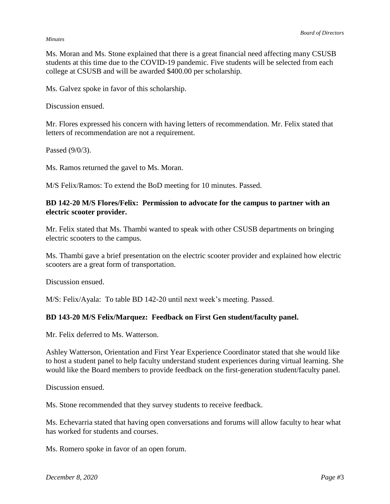#### *Minutes*

Ms. Moran and Ms. Stone explained that there is a great financial need affecting many CSUSB students at this time due to the COVID-19 pandemic. Five students will be selected from each college at CSUSB and will be awarded \$400.00 per scholarship.

Ms. Galvez spoke in favor of this scholarship.

Discussion ensued.

Mr. Flores expressed his concern with having letters of recommendation. Mr. Felix stated that letters of recommendation are not a requirement.

Passed (9/0/3).

Ms. Ramos returned the gavel to Ms. Moran.

M/S Felix/Ramos: To extend the BoD meeting for 10 minutes. Passed.

### **BD 142-20 M/S Flores/Felix: Permission to advocate for the campus to partner with an electric scooter provider.**

Mr. Felix stated that Ms. Thambi wanted to speak with other CSUSB departments on bringing electric scooters to the campus.

Ms. Thambi gave a brief presentation on the electric scooter provider and explained how electric scooters are a great form of transportation.

Discussion ensued.

M/S: Felix/Ayala: To table BD 142-20 until next week's meeting. Passed.

### **BD 143-20 M/S Felix/Marquez: Feedback on First Gen student/faculty panel.**

Mr. Felix deferred to Ms. Watterson.

Ashley Watterson, Orientation and First Year Experience Coordinator stated that she would like to host a student panel to help faculty understand student experiences during virtual learning. She would like the Board members to provide feedback on the first-generation student/faculty panel.

Discussion ensued.

Ms. Stone recommended that they survey students to receive feedback.

Ms. Echevarria stated that having open conversations and forums will allow faculty to hear what has worked for students and courses.

Ms. Romero spoke in favor of an open forum.